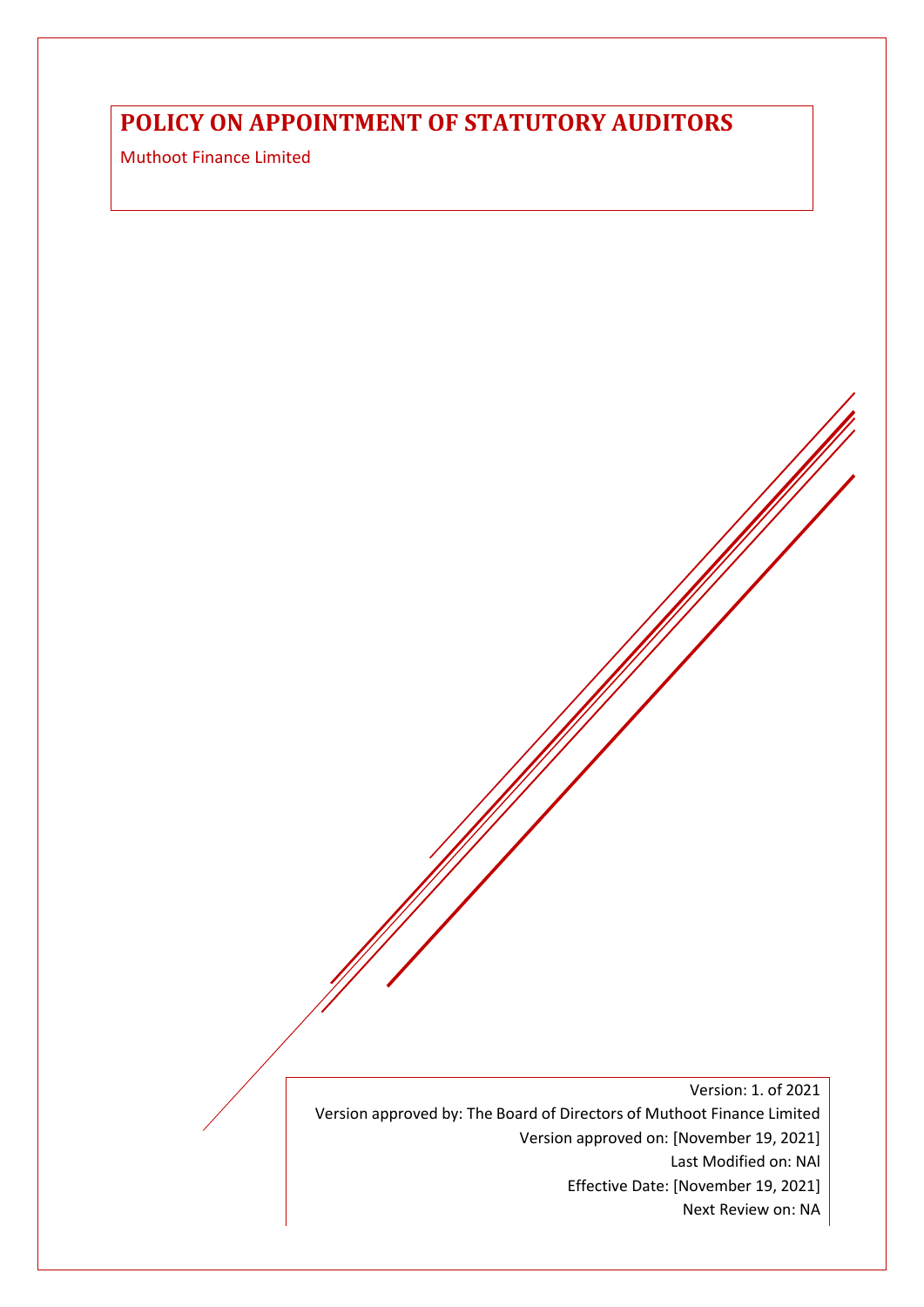# **POLICY ON APPOINTMENT OF STATUTORY AUDITORS**

Muthoot Finance Limited

Version: 1. of 2021 Version approved by: The Board of Directors of Muthoot Finance Limited Version approved on: [November 19, 2021] Last Modified on: NAl Effective Date: [November 19, 2021] Next Review on: NA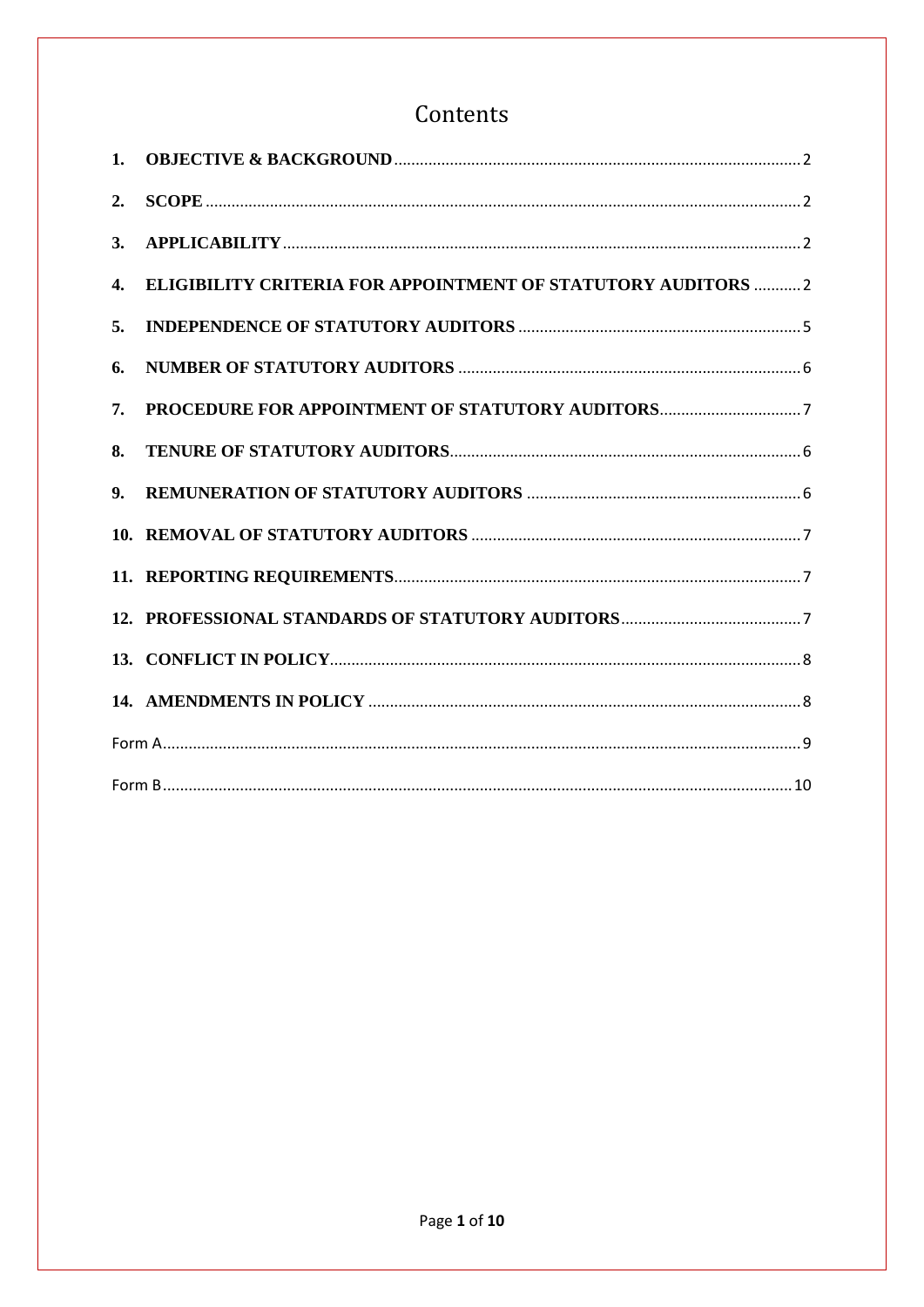# Contents

| 1. |                                                                      |  |  |  |  |
|----|----------------------------------------------------------------------|--|--|--|--|
| 2. |                                                                      |  |  |  |  |
| 3. |                                                                      |  |  |  |  |
| 4. | <b>ELIGIBILITY CRITERIA FOR APPOINTMENT OF STATUTORY AUDITORS  2</b> |  |  |  |  |
| 5. |                                                                      |  |  |  |  |
| 6. |                                                                      |  |  |  |  |
| 7. |                                                                      |  |  |  |  |
| 8. |                                                                      |  |  |  |  |
| 9. |                                                                      |  |  |  |  |
|    |                                                                      |  |  |  |  |
|    |                                                                      |  |  |  |  |
|    |                                                                      |  |  |  |  |
|    |                                                                      |  |  |  |  |
|    |                                                                      |  |  |  |  |
|    |                                                                      |  |  |  |  |
|    |                                                                      |  |  |  |  |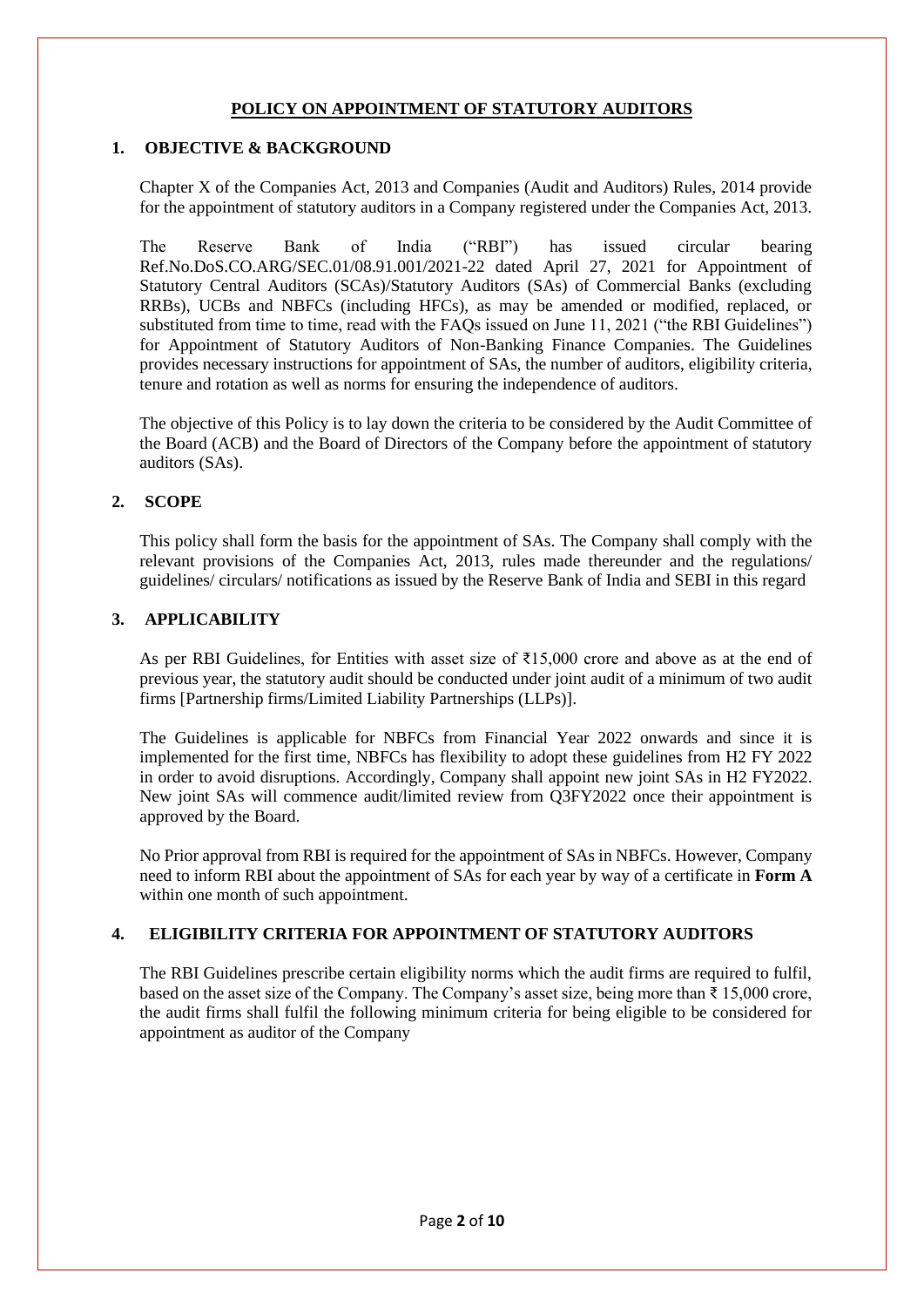## **POLICY ON APPOINTMENT OF STATUTORY AUDITORS**

### <span id="page-2-0"></span>**1. OBJECTIVE & BACKGROUND**

Chapter X of the Companies Act, 2013 and Companies (Audit and Auditors) Rules, 2014 provide for the appointment of statutory auditors in a Company registered under the Companies Act, 2013.

The Reserve Bank of India ("RBI") has issued circular bearing Ref.No.DoS.CO.ARG/SEC.01/08.91.001/2021-22 dated April 27, 2021 for Appointment of Statutory Central Auditors (SCAs)/Statutory Auditors (SAs) of Commercial Banks (excluding RRBs), UCBs and NBFCs (including HFCs), as may be amended or modified, replaced, or substituted from time to time, read with the FAQs issued on June 11, 2021 ("the RBI Guidelines") for Appointment of Statutory Auditors of Non-Banking Finance Companies. The Guidelines provides necessary instructions for appointment of SAs, the number of auditors, eligibility criteria, tenure and rotation as well as norms for ensuring the independence of auditors.

The objective of this Policy is to lay down the criteria to be considered by the Audit Committee of the Board (ACB) and the Board of Directors of the Company before the appointment of statutory auditors (SAs).

### <span id="page-2-1"></span>**2. SCOPE**

This policy shall form the basis for the appointment of SAs. The Company shall comply with the relevant provisions of the Companies Act, 2013, rules made thereunder and the regulations/ guidelines/ circulars/ notifications as issued by the Reserve Bank of India and SEBI in this regard

#### <span id="page-2-2"></span>**3. APPLICABILITY**

As per RBI Guidelines, for Entities with asset size of  $\overline{515,000}$  crore and above as at the end of previous year, the statutory audit should be conducted under joint audit of a minimum of two audit firms [Partnership firms/Limited Liability Partnerships (LLPs)].

The Guidelines is applicable for NBFCs from Financial Year 2022 onwards and since it is implemented for the first time, NBFCs has flexibility to adopt these guidelines from H2 FY 2022 in order to avoid disruptions. Accordingly, Company shall appoint new joint SAs in H2 FY2022. New joint SAs will commence audit/limited review from Q3FY2022 once their appointment is approved by the Board.

No Prior approval from RBI is required for the appointment of SAs in NBFCs. However, Company need to inform RBI about the appointment of SAs for each year by way of a certificate in **Form A**  within one month of such appointment.

## <span id="page-2-3"></span>**4. ELIGIBILITY CRITERIA FOR APPOINTMENT OF STATUTORY AUDITORS**

The RBI Guidelines prescribe certain eligibility norms which the audit firms are required to fulfil, based on the asset size of the Company. The Company's asset size, being more than ₹ 15,000 crore, the audit firms shall fulfil the following minimum criteria for being eligible to be considered for appointment as auditor of the Company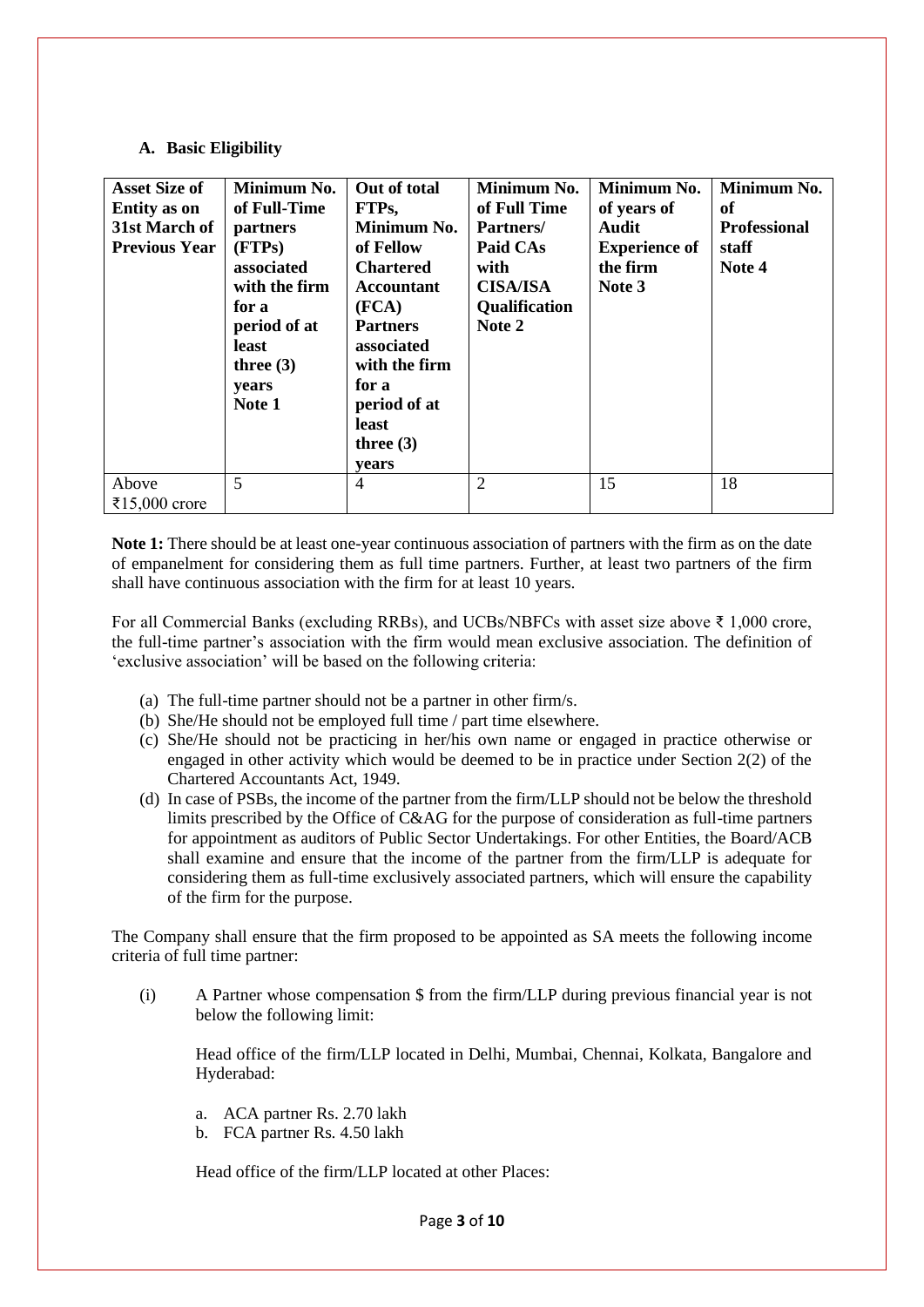### **A. Basic Eligibility**

| <b>Asset Size of</b><br><b>Entity</b> as on<br>31st March of<br><b>Previous Year</b> | Minimum No.<br>of Full-Time<br>partners<br>(FTPs)<br>associated<br>with the firm<br>for a<br>period of at<br>least<br>three $(3)$<br>years<br>Note 1 | Out of total<br>FTPs,<br>Minimum No.<br>of Fellow<br><b>Chartered</b><br><b>Accountant</b><br>(FCA)<br><b>Partners</b><br>associated<br>with the firm<br>for a<br>period of at<br>least<br>three $(3)$<br>vears | Minimum No.<br>of Full Time<br>Partners/<br>Paid CAs<br>with<br><b>CISA/ISA</b><br>Qualification<br>Note 2 | Minimum No.<br>of years of<br><b>Audit</b><br><b>Experience of</b><br>the firm<br>Note 3 | Minimum No.<br>of<br><b>Professional</b><br>staff<br>Note 4 |
|--------------------------------------------------------------------------------------|------------------------------------------------------------------------------------------------------------------------------------------------------|-----------------------------------------------------------------------------------------------------------------------------------------------------------------------------------------------------------------|------------------------------------------------------------------------------------------------------------|------------------------------------------------------------------------------------------|-------------------------------------------------------------|
| Above<br>₹15,000 crore                                                               | 5                                                                                                                                                    | 4                                                                                                                                                                                                               | $\overline{2}$                                                                                             | 15                                                                                       | 18                                                          |

**Note 1:** There should be at least one-year continuous association of partners with the firm as on the date of empanelment for considering them as full time partners. Further, at least two partners of the firm shall have continuous association with the firm for at least 10 years.

For all Commercial Banks (excluding RRBs), and UCBs/NBFCs with asset size above ₹ 1,000 crore, the full-time partner's association with the firm would mean exclusive association. The definition of 'exclusive association' will be based on the following criteria:

- (a) The full-time partner should not be a partner in other firm/s.
- (b) She/He should not be employed full time / part time elsewhere.
- (c) She/He should not be practicing in her/his own name or engaged in practice otherwise or engaged in other activity which would be deemed to be in practice under Section 2(2) of the Chartered Accountants Act, 1949.
- (d) In case of PSBs, the income of the partner from the firm/LLP should not be below the threshold limits prescribed by the Office of C&AG for the purpose of consideration as full-time partners for appointment as auditors of Public Sector Undertakings. For other Entities, the Board/ACB shall examine and ensure that the income of the partner from the firm/LLP is adequate for considering them as full-time exclusively associated partners, which will ensure the capability of the firm for the purpose.

The Company shall ensure that the firm proposed to be appointed as SA meets the following income criteria of full time partner:

(i) A Partner whose compensation \$ from the firm/LLP during previous financial year is not below the following limit:

Head office of the firm/LLP located in Delhi, Mumbai, Chennai, Kolkata, Bangalore and Hyderabad:

- a. ACA partner Rs. 2.70 lakh
- b. FCA partner Rs. 4.50 lakh

Head office of the firm/LLP located at other Places: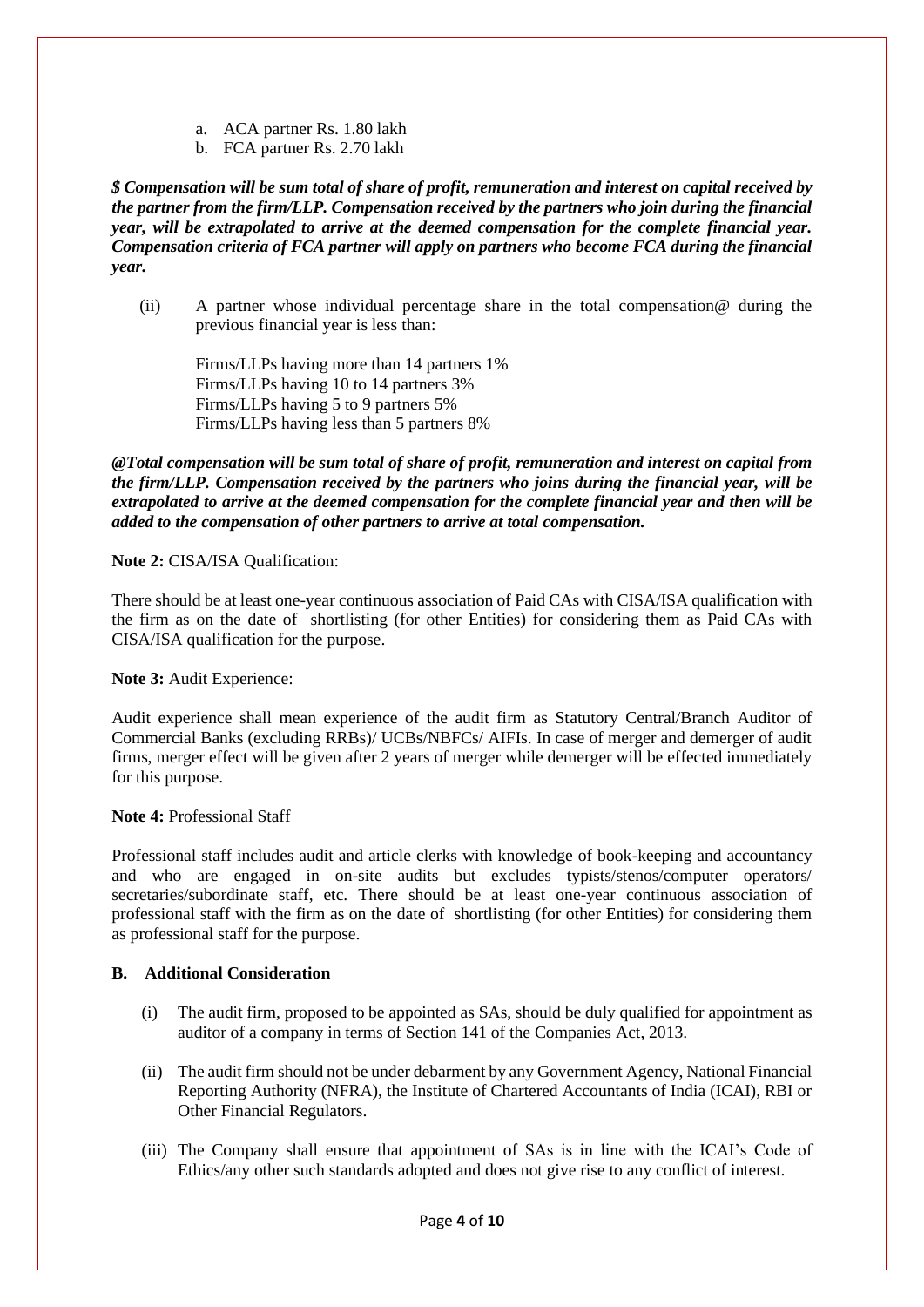- a. ACA partner Rs. 1.80 lakh
- b. FCA partner Rs. 2.70 lakh

*\$ Compensation will be sum total of share of profit, remuneration and interest on capital received by the partner from the firm/LLP. Compensation received by the partners who join during the financial year, will be extrapolated to arrive at the deemed compensation for the complete financial year. Compensation criteria of FCA partner will apply on partners who become FCA during the financial year.*

(ii) A partner whose individual percentage share in the total compensation@ during the previous financial year is less than:

Firms/LLPs having more than 14 partners 1% Firms/LLPs having 10 to 14 partners 3% Firms/LLPs having 5 to 9 partners 5% Firms/LLPs having less than 5 partners 8%

*@Total compensation will be sum total of share of profit, remuneration and interest on capital from the firm/LLP. Compensation received by the partners who joins during the financial year, will be extrapolated to arrive at the deemed compensation for the complete financial year and then will be added to the compensation of other partners to arrive at total compensation.*

### **Note 2:** CISA/ISA Qualification:

There should be at least one-year continuous association of Paid CAs with CISA/ISA qualification with the firm as on the date of shortlisting (for other Entities) for considering them as Paid CAs with CISA/ISA qualification for the purpose.

**Note 3:** Audit Experience:

Audit experience shall mean experience of the audit firm as Statutory Central/Branch Auditor of Commercial Banks (excluding RRBs)/ UCBs/NBFCs/ AIFIs. In case of merger and demerger of audit firms, merger effect will be given after 2 years of merger while demerger will be effected immediately for this purpose.

#### **Note 4:** Professional Staff

Professional staff includes audit and article clerks with knowledge of book-keeping and accountancy and who are engaged in on-site audits but excludes typists/stenos/computer operators/ secretaries/subordinate staff, etc. There should be at least one-year continuous association of professional staff with the firm as on the date of shortlisting (for other Entities) for considering them as professional staff for the purpose.

#### **B. Additional Consideration**

- (i) The audit firm, proposed to be appointed as SAs, should be duly qualified for appointment as auditor of a company in terms of Section 141 of the Companies Act, 2013.
- (ii) The audit firm should not be under debarment by any Government Agency, National Financial Reporting Authority (NFRA), the Institute of Chartered Accountants of India (ICAI), RBI or Other Financial Regulators.
- (iii) The Company shall ensure that appointment of SAs is in line with the ICAI's Code of Ethics/any other such standards adopted and does not give rise to any conflict of interest.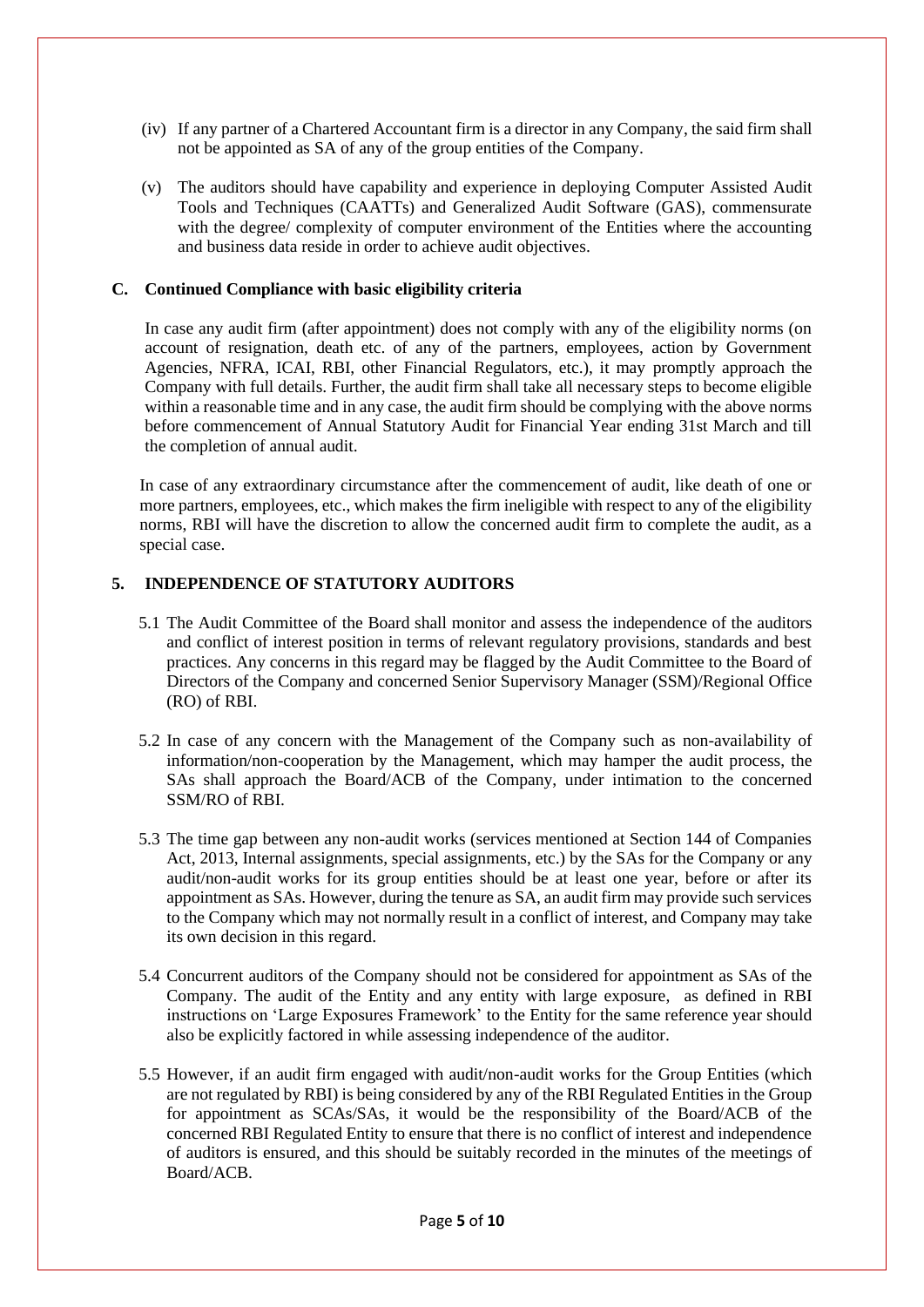- (iv) If any partner of a Chartered Accountant firm is a director in any Company, the said firm shall not be appointed as SA of any of the group entities of the Company.
- (v) The auditors should have capability and experience in deploying Computer Assisted Audit Tools and Techniques (CAATTs) and Generalized Audit Software (GAS), commensurate with the degree/ complexity of computer environment of the Entities where the accounting and business data reside in order to achieve audit objectives.

### **C. Continued Compliance with basic eligibility criteria**

In case any audit firm (after appointment) does not comply with any of the eligibility norms (on account of resignation, death etc. of any of the partners, employees, action by Government Agencies, NFRA, ICAI, RBI, other Financial Regulators, etc.), it may promptly approach the Company with full details. Further, the audit firm shall take all necessary steps to become eligible within a reasonable time and in any case, the audit firm should be complying with the above norms before commencement of Annual Statutory Audit for Financial Year ending 31st March and till the completion of annual audit.

In case of any extraordinary circumstance after the commencement of audit, like death of one or more partners, employees, etc., which makes the firm ineligible with respect to any of the eligibility norms, RBI will have the discretion to allow the concerned audit firm to complete the audit, as a special case.

### <span id="page-5-0"></span>**5. INDEPENDENCE OF STATUTORY AUDITORS**

- 5.1 The Audit Committee of the Board shall monitor and assess the independence of the auditors and conflict of interest position in terms of relevant regulatory provisions, standards and best practices. Any concerns in this regard may be flagged by the Audit Committee to the Board of Directors of the Company and concerned Senior Supervisory Manager (SSM)/Regional Office (RO) of RBI.
- 5.2 In case of any concern with the Management of the Company such as non-availability of information/non-cooperation by the Management, which may hamper the audit process, the SAs shall approach the Board/ACB of the Company, under intimation to the concerned SSM/RO of RBI.
- 5.3 The time gap between any non-audit works (services mentioned at Section 144 of Companies Act, 2013, Internal assignments, special assignments, etc.) by the SAs for the Company or any audit/non-audit works for its group entities should be at least one year, before or after its appointment as SAs. However, during the tenure as SA, an audit firm may provide such services to the Company which may not normally result in a conflict of interest, and Company may take its own decision in this regard.
- 5.4 Concurrent auditors of the Company should not be considered for appointment as SAs of the Company. The audit of the Entity and any entity with large exposure, as defined in RBI instructions on 'Large Exposures Framework' to the Entity for the same reference year should also be explicitly factored in while assessing independence of the auditor.
- 5.5 However, if an audit firm engaged with audit/non-audit works for the Group Entities (which are not regulated by RBI) is being considered by any of the RBI Regulated Entities in the Group for appointment as SCAs/SAs, it would be the responsibility of the Board/ACB of the concerned RBI Regulated Entity to ensure that there is no conflict of interest and independence of auditors is ensured, and this should be suitably recorded in the minutes of the meetings of Board/ACB.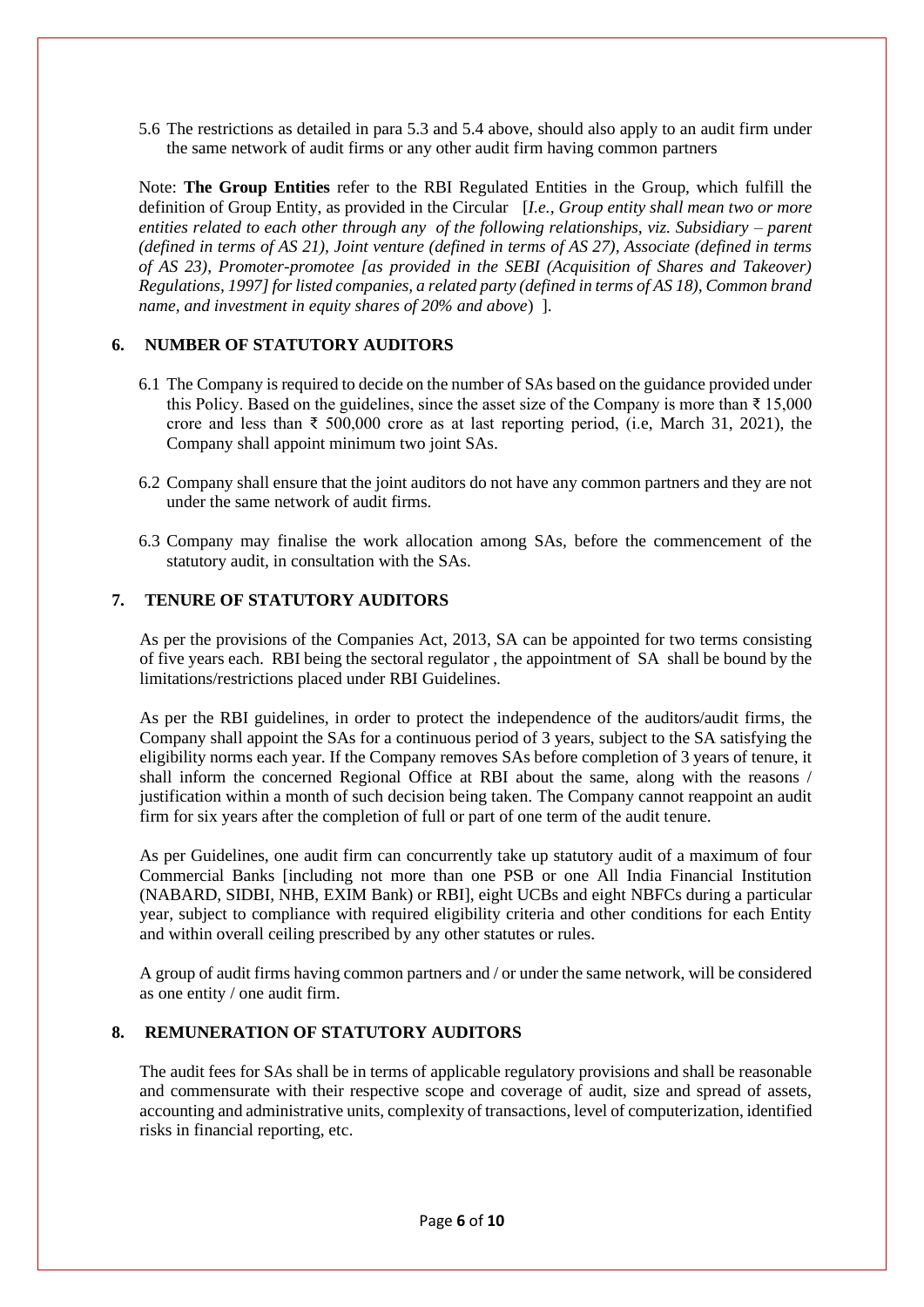5.6 The restrictions as detailed in para 5.3 and 5.4 above, should also apply to an audit firm under the same network of audit firms or any other audit firm having common partners

Note: **The Group Entities** refer to the RBI Regulated Entities in the Group, which fulfill the definition of Group Entity, as provided in the Circular [*I.e., Group entity shall mean two or more entities related to each other through any of the following relationships, viz. Subsidiary – parent (defined in terms of AS 21), Joint venture (defined in terms of AS 27), Associate (defined in terms of AS 23), Promoter-promotee [as provided in the SEBI (Acquisition of Shares and Takeover) Regulations, 1997] for listed companies, a related party (defined in terms of AS 18), Common brand name, and investment in equity shares of 20% and above*) ].

## <span id="page-6-0"></span>**6. NUMBER OF STATUTORY AUDITORS**

- 6.1 The Company is required to decide on the number of SAs based on the guidance provided under this Policy. Based on the guidelines, since the asset size of the Company is more than  $\bar{\tau}$  15,000 crore and less than  $\bar{\tau}$  500,000 crore as at last reporting period, (i.e, March 31, 2021), the Company shall appoint minimum two joint SAs.
- 6.2 Company shall ensure that the joint auditors do not have any common partners and they are not under the same network of audit firms.
- 6.3 Company may finalise the work allocation among SAs, before the commencement of the statutory audit, in consultation with the SAs.

## <span id="page-6-1"></span>**7. TENURE OF STATUTORY AUDITORS**

As per the provisions of the Companies Act, 2013, SA can be appointed for two terms consisting of five years each. RBI being the sectoral regulator , the appointment of SA shall be bound by the limitations/restrictions placed under RBI Guidelines.

As per the RBI guidelines, in order to protect the independence of the auditors/audit firms, the Company shall appoint the SAs for a continuous period of 3 years, subject to the SA satisfying the eligibility norms each year. If the Company removes SAs before completion of 3 years of tenure, it shall inform the concerned Regional Office at RBI about the same, along with the reasons / justification within a month of such decision being taken. The Company cannot reappoint an audit firm for six years after the completion of full or part of one term of the audit tenure.

As per Guidelines, one audit firm can concurrently take up statutory audit of a maximum of four Commercial Banks [including not more than one PSB or one All India Financial Institution (NABARD, SIDBI, NHB, EXIM Bank) or RBI], eight UCBs and eight NBFCs during a particular year, subject to compliance with required eligibility criteria and other conditions for each Entity and within overall ceiling prescribed by any other statutes or rules.

A group of audit firms having common partners and / or under the same network, will be considered as one entity / one audit firm.

## <span id="page-6-2"></span>**8. REMUNERATION OF STATUTORY AUDITORS**

The audit fees for SAs shall be in terms of applicable regulatory provisions and shall be reasonable and commensurate with their respective scope and coverage of audit, size and spread of assets, accounting and administrative units, complexity of transactions, level of computerization, identified risks in financial reporting, etc.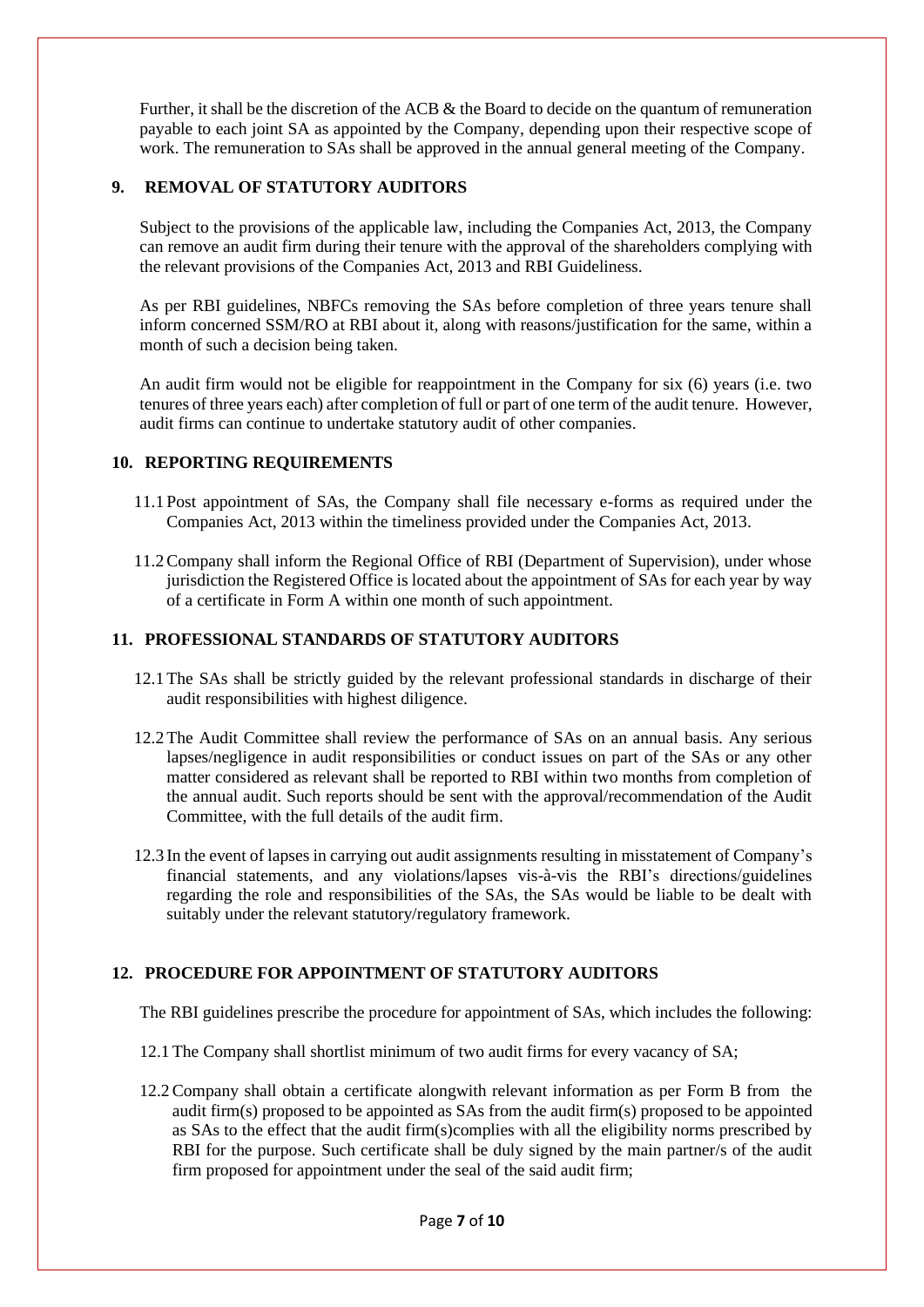Further, it shall be the discretion of the ACB & the Board to decide on the quantum of remuneration payable to each joint SA as appointed by the Company, depending upon their respective scope of work. The remuneration to SAs shall be approved in the annual general meeting of the Company.

## <span id="page-7-1"></span>**9. REMOVAL OF STATUTORY AUDITORS**

Subject to the provisions of the applicable law, including the Companies Act, 2013, the Company can remove an audit firm during their tenure with the approval of the shareholders complying with the relevant provisions of the Companies Act, 2013 and RBI Guideliness.

As per RBI guidelines, NBFCs removing the SAs before completion of three years tenure shall inform concerned SSM/RO at RBI about it, along with reasons/justification for the same, within a month of such a decision being taken.

An audit firm would not be eligible for reappointment in the Company for six (6) years (i.e. two tenures of three years each) after completion of full or part of one term of the audit tenure. However, audit firms can continue to undertake statutory audit of other companies.

### <span id="page-7-2"></span>**10. REPORTING REQUIREMENTS**

- 11.1 Post appointment of SAs, the Company shall file necessary e-forms as required under the Companies Act, 2013 within the timeliness provided under the Companies Act, 2013.
- 11.2Company shall inform the Regional Office of RBI (Department of Supervision), under whose jurisdiction the Registered Office is located about the appointment of SAs for each year by way of a certificate in Form A within one month of such appointment.

## <span id="page-7-3"></span>**11. PROFESSIONAL STANDARDS OF STATUTORY AUDITORS**

- 12.1The SAs shall be strictly guided by the relevant professional standards in discharge of their audit responsibilities with highest diligence.
- 12.2The Audit Committee shall review the performance of SAs on an annual basis. Any serious lapses/negligence in audit responsibilities or conduct issues on part of the SAs or any other matter considered as relevant shall be reported to RBI within two months from completion of the annual audit. Such reports should be sent with the approval/recommendation of the Audit Committee, with the full details of the audit firm.
- 12.3 In the event of lapses in carrying out audit assignments resulting in misstatement of Company's financial statements, and any violations/lapses vis-à-vis the RBI's directions/guidelines regarding the role and responsibilities of the SAs, the SAs would be liable to be dealt with suitably under the relevant statutory/regulatory framework.

## <span id="page-7-0"></span>**12. PROCEDURE FOR APPOINTMENT OF STATUTORY AUDITORS**

The RBI guidelines prescribe the procedure for appointment of SAs, which includes the following:

- 12.1The Company shall shortlist minimum of two audit firms for every vacancy of SA;
- 12.2Company shall obtain a certificate alongwith relevant information as per Form B from the audit firm(s) proposed to be appointed as SAs from the audit firm(s) proposed to be appointed as SAs to the effect that the audit firm(s)complies with all the eligibility norms prescribed by RBI for the purpose. Such certificate shall be duly signed by the main partner/s of the audit firm proposed for appointment under the seal of the said audit firm;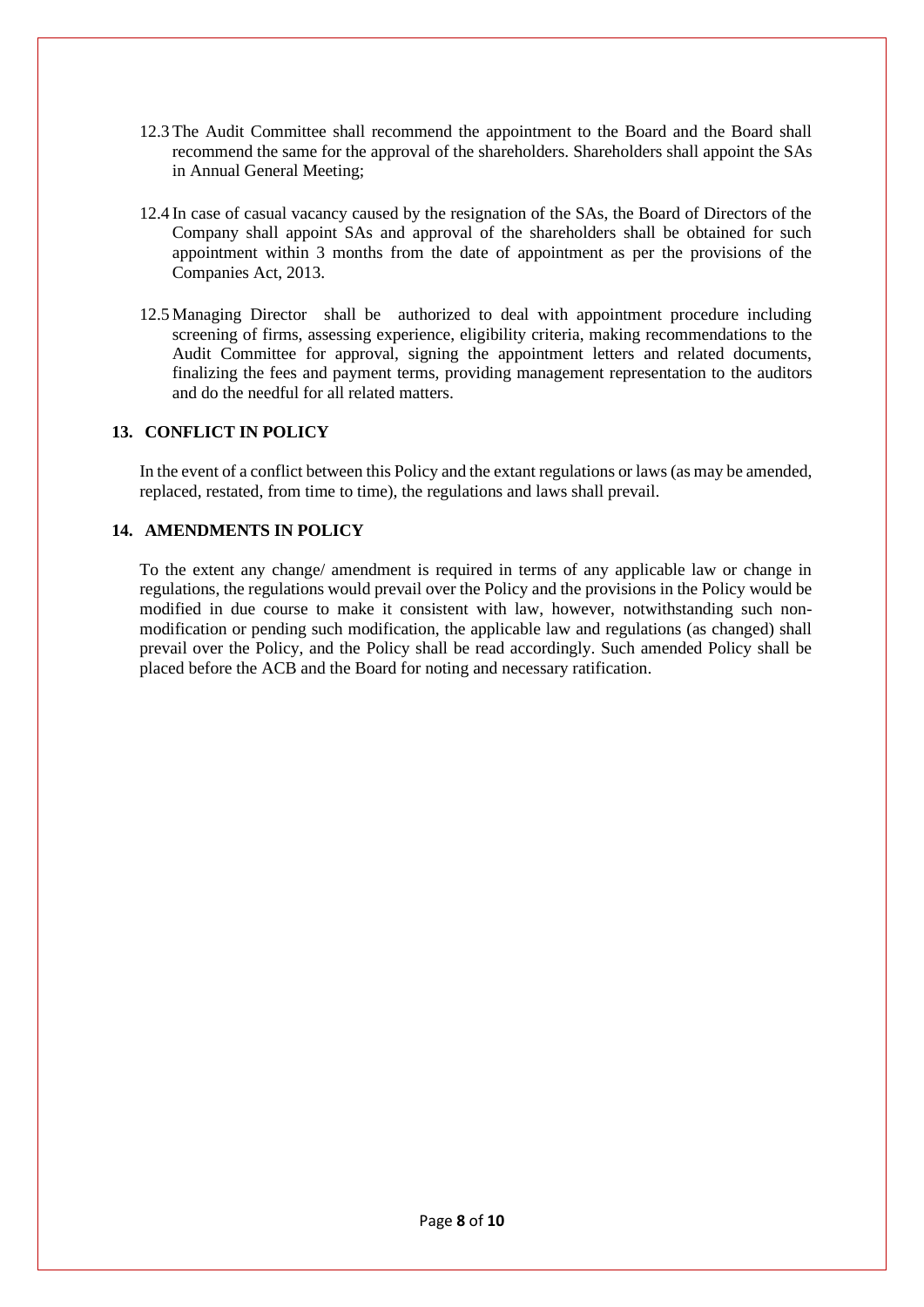- 12.3The Audit Committee shall recommend the appointment to the Board and the Board shall recommend the same for the approval of the shareholders. Shareholders shall appoint the SAs in Annual General Meeting;
- 12.4 In case of casual vacancy caused by the resignation of the SAs, the Board of Directors of the Company shall appoint SAs and approval of the shareholders shall be obtained for such appointment within 3 months from the date of appointment as per the provisions of the Companies Act, 2013.
- 12.5 Managing Director shall be authorized to deal with appointment procedure including screening of firms, assessing experience, eligibility criteria, making recommendations to the Audit Committee for approval, signing the appointment letters and related documents, finalizing the fees and payment terms, providing management representation to the auditors and do the needful for all related matters.

#### <span id="page-8-0"></span>**13. CONFLICT IN POLICY**

In the event of a conflict between this Policy and the extant regulations or laws (as may be amended, replaced, restated, from time to time), the regulations and laws shall prevail.

### <span id="page-8-1"></span>**14. AMENDMENTS IN POLICY**

To the extent any change/ amendment is required in terms of any applicable law or change in regulations, the regulations would prevail over the Policy and the provisions in the Policy would be modified in due course to make it consistent with law, however, notwithstanding such nonmodification or pending such modification, the applicable law and regulations (as changed) shall prevail over the Policy, and the Policy shall be read accordingly. Such amended Policy shall be placed before the ACB and the Board for noting and necessary ratification.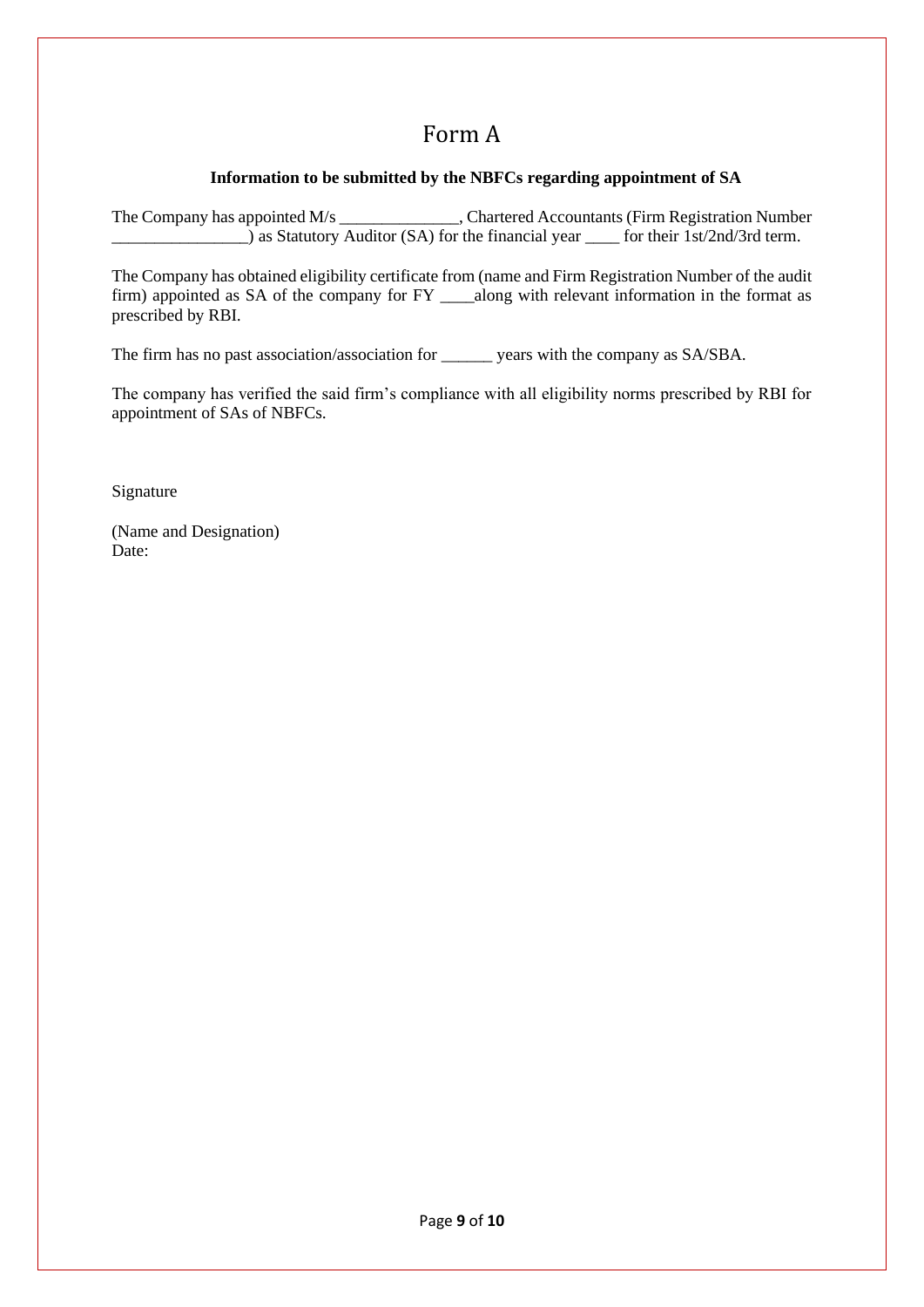# Form A

## **Information to be submitted by the NBFCs regarding appointment of SA**

<span id="page-9-0"></span>The Company has appointed M/s \_\_\_\_\_\_\_\_\_\_\_\_\_\_, Chartered Accountants (Firm Registration Number as Statutory Auditor (SA) for the financial year \_\_\_\_ for their 1st/2nd/3rd term.

The Company has obtained eligibility certificate from (name and Firm Registration Number of the audit firm) appointed as SA of the company for FY \_\_\_\_along with relevant information in the format as prescribed by RBI.

The firm has no past association/association for \_\_\_\_\_\_ years with the company as SA/SBA.

The company has verified the said firm's compliance with all eligibility norms prescribed by RBI for appointment of SAs of NBFCs.

Signature

(Name and Designation) Date: